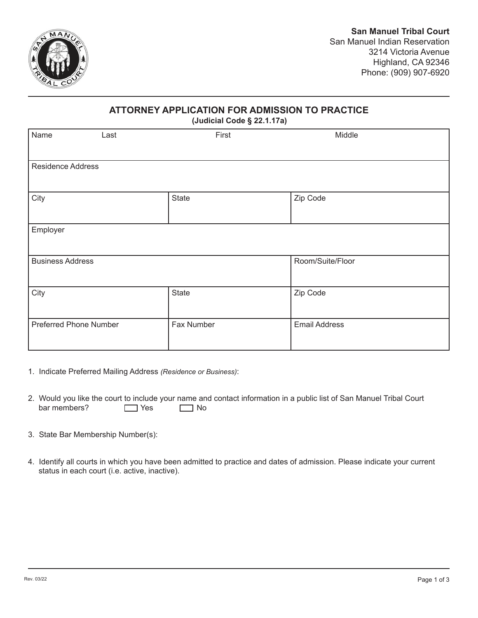

## **ATTORNEY APPLICATION FOR ADMISSION TO PRACTICE**

**(Judicial Code § 22.1.17a)**

|                               |              | $\tilde{\phantom{a}}$<br>$\overline{\phantom{a}}$ |                      |
|-------------------------------|--------------|---------------------------------------------------|----------------------|
| Name<br>Last                  |              | First                                             | Middle               |
| <b>Residence Address</b>      |              |                                                   |                      |
| City                          | <b>State</b> |                                                   | Zip Code             |
| Employer                      |              |                                                   |                      |
| <b>Business Address</b>       |              |                                                   | Room/Suite/Floor     |
| City                          | <b>State</b> |                                                   | Zip Code             |
| <b>Preferred Phone Number</b> | Fax Number   |                                                   | <b>Email Address</b> |

- 1. Indicate Preferred Mailing Address *(Residence or Business)*:
- bar members?  $\Box$  Yes  $\Box$  No 2. Would you like the court to include your name and contact information in a public list of San Manuel Tribal Court bar members?
- 3. State Bar Membership Number(s):
- 4. Identify all courts in which you have been admitted to practice and dates of admission. Please indicate your current status in each court (i.e. active, inactive).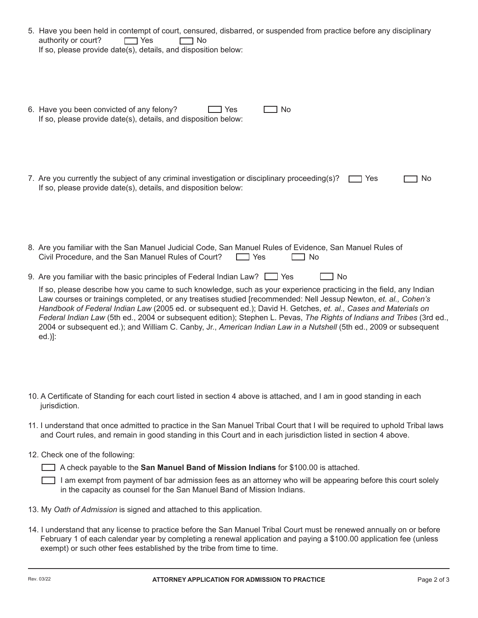| 5. Have you been held in contempt of court, censured, disbarred, or suspended from practice before any disciplinary<br>authority or court?<br>$\neg$ Yes<br>1 No<br>If so, please provide date(s), details, and disposition below:                                                                                                                                                                                                                                                                                                                                                                                                                                                                      |
|---------------------------------------------------------------------------------------------------------------------------------------------------------------------------------------------------------------------------------------------------------------------------------------------------------------------------------------------------------------------------------------------------------------------------------------------------------------------------------------------------------------------------------------------------------------------------------------------------------------------------------------------------------------------------------------------------------|
| 6. Have you been convicted of any felony?<br>No<br>Yes<br>If so, please provide date(s), details, and disposition below:                                                                                                                                                                                                                                                                                                                                                                                                                                                                                                                                                                                |
| 7. Are you currently the subject of any criminal investigation or disciplinary proceeding(s)?<br>Yes<br>No<br>If so, please provide date(s), details, and disposition below:                                                                                                                                                                                                                                                                                                                                                                                                                                                                                                                            |
| 8. Are you familiar with the San Manuel Judicial Code, San Manuel Rules of Evidence, San Manuel Rules of<br>Civil Procedure, and the San Manuel Rules of Court?<br><b>No</b><br>$\Box$ Yes                                                                                                                                                                                                                                                                                                                                                                                                                                                                                                              |
| 9. Are you familiar with the basic principles of Federal Indian Law? $\Box$ Yes<br><b>No</b><br>If so, please describe how you came to such knowledge, such as your experience practicing in the field, any Indian<br>Law courses or trainings completed, or any treatises studied [recommended: Nell Jessup Newton, et. al., Cohen's<br>Handbook of Federal Indian Law (2005 ed. or subsequent ed.); David H. Getches, et. al., Cases and Materials on<br>Federal Indian Law (5th ed., 2004 or subsequent edition); Stephen L. Pevas, The Rights of Indians and Tribes (3rd ed.,<br>2004 or subsequent ed.); and William C. Canby, Jr., American Indian Law in a Nutshell (5th ed., 2009 or subsequent |

- 10. A Certificate of Standing for each court listed in section 4 above is attached, and I am in good standing in each jurisdiction.
- 11. I understand that once admitted to practice in the San Manuel Tribal Court that I will be required to uphold Tribal laws and Court rules, and remain in good standing in this Court and in each jurisdiction listed in section 4 above.
- 12. Check one of the following:

A check payable to the **San Manuel Band of Mission Indians** for \$100.00 is attached.

I am exempt from payment of bar admission fees as an attorney who will be appearing before this court solely in the capacity as counsel for the San Manuel Band of Mission Indians.

- 13. My *Oath of Admission* is signed and attached to this application.
- 14. I understand that any license to practice before the San Manuel Tribal Court must be renewed annually on or before February 1 of each calendar year by completing a renewal application and paying a \$100.00 application fee (unless exempt) or such other fees established by the tribe from time to time.

ed.)]: